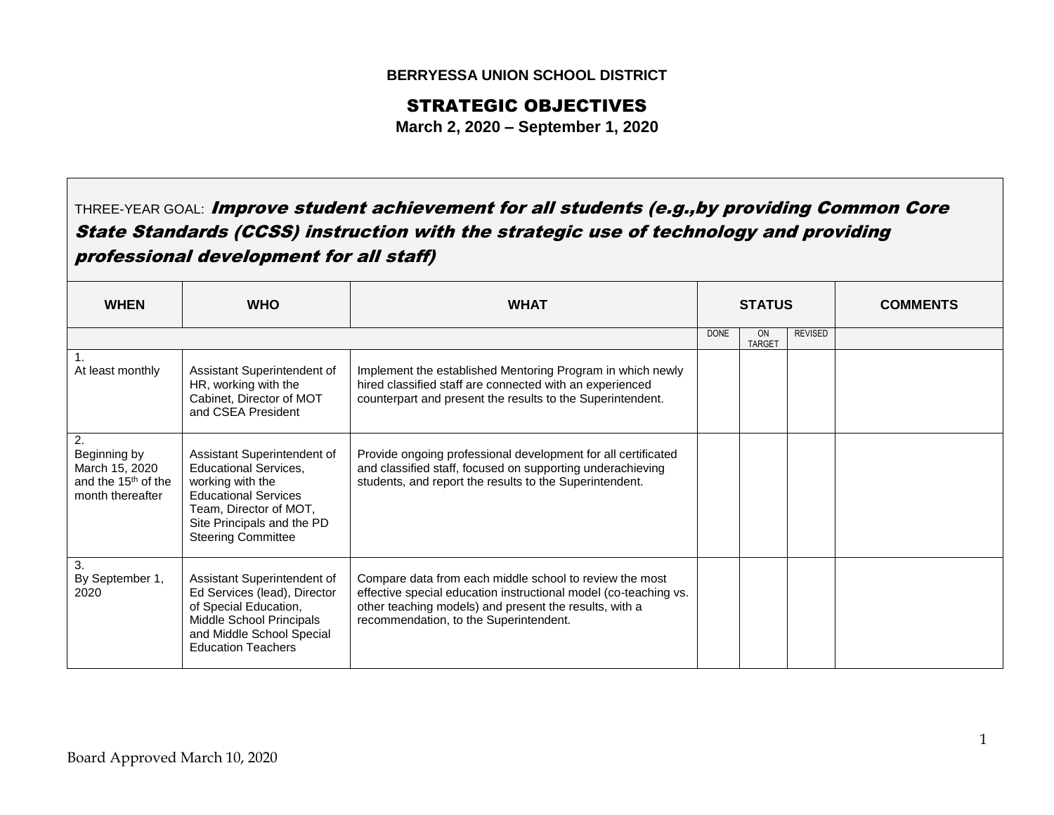## **BERRYESSA UNION SCHOOL DISTRICT**

## STRATEGIC OBJECTIVES

**March 2, 2020 – September 1, 2020**

THREE-YEAR GOAL: Improve student achievement for all students (e.g., by providing Common Core State Standards (CCSS) instruction with the strategic use of technology and providing professional development for all staff)

| <b>WHEN</b>                                                                                 | <b>WHO</b>                                                                                                                                                                                          | <b>WHAT</b>                                                                                                                                                                                                                     | <b>STATUS</b> |                     |                | <b>COMMENTS</b> |
|---------------------------------------------------------------------------------------------|-----------------------------------------------------------------------------------------------------------------------------------------------------------------------------------------------------|---------------------------------------------------------------------------------------------------------------------------------------------------------------------------------------------------------------------------------|---------------|---------------------|----------------|-----------------|
|                                                                                             |                                                                                                                                                                                                     |                                                                                                                                                                                                                                 | <b>DONE</b>   | ON<br><b>TARGET</b> | <b>REVISED</b> |                 |
| At least monthly                                                                            | Assistant Superintendent of<br>HR, working with the<br>Cabinet, Director of MOT<br>and CSEA President                                                                                               | Implement the established Mentoring Program in which newly<br>hired classified staff are connected with an experienced<br>counterpart and present the results to the Superintendent.                                            |               |                     |                |                 |
| 2.<br>Beginning by<br>March 15, 2020<br>and the 15 <sup>th</sup> of the<br>month thereafter | Assistant Superintendent of<br><b>Educational Services,</b><br>working with the<br><b>Educational Services</b><br>Team, Director of MOT,<br>Site Principals and the PD<br><b>Steering Committee</b> | Provide ongoing professional development for all certificated<br>and classified staff, focused on supporting underachieving<br>students, and report the results to the Superintendent.                                          |               |                     |                |                 |
| 3.<br>By September 1,<br>2020                                                               | Assistant Superintendent of<br>Ed Services (lead), Director<br>of Special Education,<br>Middle School Principals<br>and Middle School Special<br><b>Education Teachers</b>                          | Compare data from each middle school to review the most<br>effective special education instructional model (co-teaching vs.<br>other teaching models) and present the results, with a<br>recommendation, to the Superintendent. |               |                     |                |                 |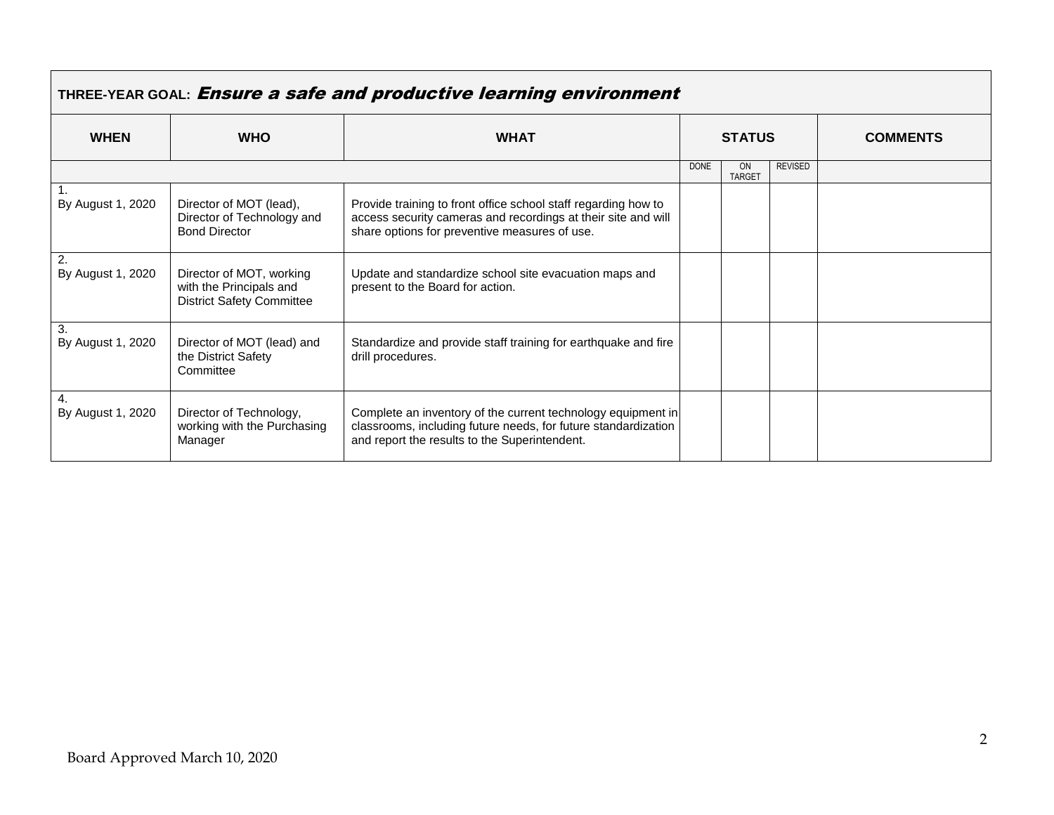| THREE-YEAR GOAL: Ensure a safe and productive learning environment |                                                                                         |                                                                                                                                                                                  |               |                            |                |                 |
|--------------------------------------------------------------------|-----------------------------------------------------------------------------------------|----------------------------------------------------------------------------------------------------------------------------------------------------------------------------------|---------------|----------------------------|----------------|-----------------|
| <b>WHEN</b>                                                        | <b>WHO</b>                                                                              | <b>WHAT</b>                                                                                                                                                                      | <b>STATUS</b> |                            |                | <b>COMMENTS</b> |
|                                                                    |                                                                                         |                                                                                                                                                                                  | <b>DONE</b>   | <b>ON</b><br><b>TARGET</b> | <b>REVISED</b> |                 |
| By August 1, 2020                                                  | Director of MOT (lead),<br>Director of Technology and<br><b>Bond Director</b>           | Provide training to front office school staff regarding how to<br>access security cameras and recordings at their site and will<br>share options for preventive measures of use. |               |                            |                |                 |
| 2.<br>By August 1, 2020                                            | Director of MOT, working<br>with the Principals and<br><b>District Safety Committee</b> | Update and standardize school site evacuation maps and<br>present to the Board for action.                                                                                       |               |                            |                |                 |
| 3.<br>By August 1, 2020                                            | Director of MOT (lead) and<br>the District Safety<br>Committee                          | Standardize and provide staff training for earthquake and fire<br>drill procedures.                                                                                              |               |                            |                |                 |
| 4.<br>By August 1, 2020                                            | Director of Technology,<br>working with the Purchasing<br>Manager                       | Complete an inventory of the current technology equipment in<br>classrooms, including future needs, for future standardization<br>and report the results to the Superintendent.  |               |                            |                |                 |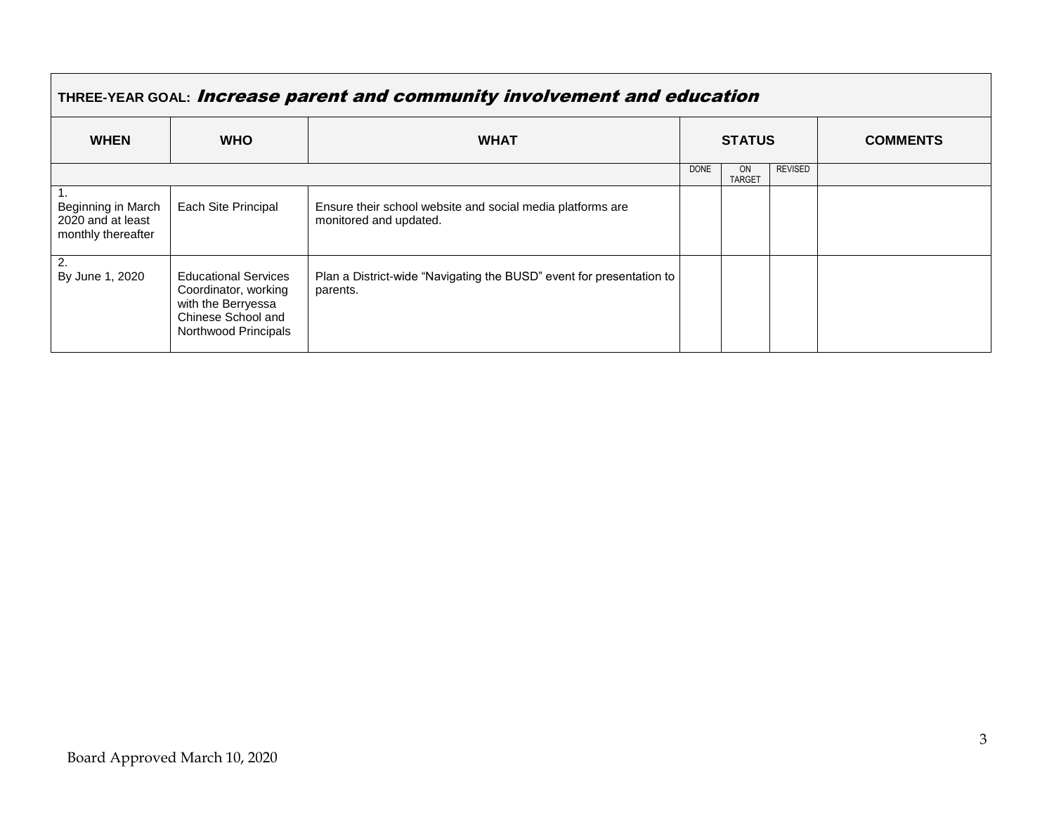| THREE-YEAR GOAL: Increase parent and community involvement and education |                                                                                                                         |                                                                                      |             |                            |                |                 |
|--------------------------------------------------------------------------|-------------------------------------------------------------------------------------------------------------------------|--------------------------------------------------------------------------------------|-------------|----------------------------|----------------|-----------------|
| <b>WHEN</b>                                                              | <b>WHO</b>                                                                                                              | <b>WHAT</b>                                                                          |             | <b>STATUS</b>              |                | <b>COMMENTS</b> |
|                                                                          |                                                                                                                         |                                                                                      | <b>DONE</b> | <b>ON</b><br><b>TARGET</b> | <b>REVISED</b> |                 |
| Beginning in March<br>2020 and at least<br>monthly thereafter            | Each Site Principal                                                                                                     | Ensure their school website and social media platforms are<br>monitored and updated. |             |                            |                |                 |
| 2.<br>By June 1, 2020                                                    | <b>Educational Services</b><br>Coordinator, working<br>with the Berryessa<br>Chinese School and<br>Northwood Principals | Plan a District-wide "Navigating the BUSD" event for presentation to<br>parents.     |             |                            |                |                 |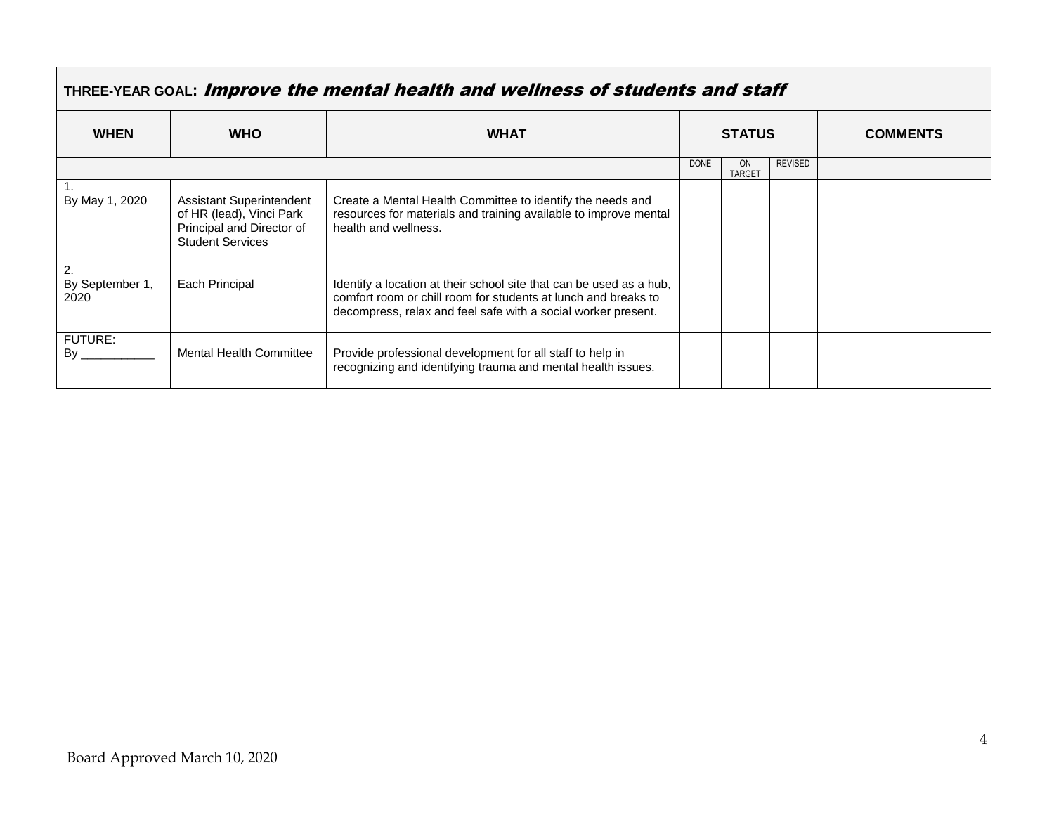|                         | THREE-YEAR GOAL: Improve the mental health and wellness of students and staff                                       |                                                                                                                                                                                                        |               |                            |                |                 |  |
|-------------------------|---------------------------------------------------------------------------------------------------------------------|--------------------------------------------------------------------------------------------------------------------------------------------------------------------------------------------------------|---------------|----------------------------|----------------|-----------------|--|
| <b>WHEN</b>             | <b>WHO</b>                                                                                                          | <b>WHAT</b>                                                                                                                                                                                            | <b>STATUS</b> |                            |                | <b>COMMENTS</b> |  |
|                         |                                                                                                                     |                                                                                                                                                                                                        | <b>DONE</b>   | <b>ON</b><br><b>TARGET</b> | <b>REVISED</b> |                 |  |
| By May 1, 2020          | <b>Assistant Superintendent</b><br>of HR (lead), Vinci Park<br>Principal and Director of<br><b>Student Services</b> | Create a Mental Health Committee to identify the needs and<br>resources for materials and training available to improve mental<br>health and wellness.                                                 |               |                            |                |                 |  |
| By September 1,<br>2020 | Each Principal                                                                                                      | Identify a location at their school site that can be used as a hub,<br>comfort room or chill room for students at lunch and breaks to<br>decompress, relax and feel safe with a social worker present. |               |                            |                |                 |  |
| <b>FUTURE:</b><br>Bv    | <b>Mental Health Committee</b>                                                                                      | Provide professional development for all staff to help in<br>recognizing and identifying trauma and mental health issues.                                                                              |               |                            |                |                 |  |